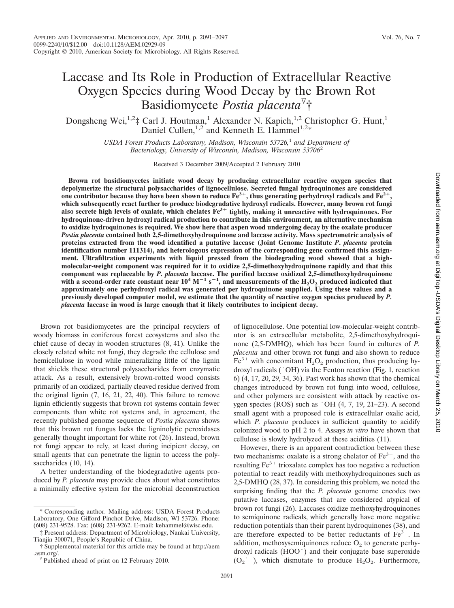# Laccase and Its Role in Production of Extracellular Reactive Oxygen Species during Wood Decay by the Brown Rot Basidiomycete *Postia placenta*<sup>v</sup>†

Dongsheng Wei,<sup>1,2</sup>‡ Carl J. Houtman,<sup>1</sup> Alexander N. Kapich,<sup>1,2</sup> Christopher G. Hunt,<sup>1</sup> Daniel Cullen,<sup>1,2</sup> and Kenneth E. Hammel<sup>1,2\*</sup>

> *USDA Forest Products Laboratory, Madison, Wisconsin 53726,*1 *and Department of Bacteriology, University of Wisconsin, Madison, Wisconsin 53706*<sup>2</sup>

> > Received 3 December 2009/Accepted 2 February 2010

**Brown rot basidiomycetes initiate wood decay by producing extracellular reactive oxygen species that depolymerize the structural polysaccharides of lignocellulose. Secreted fungal hydroquinones are considered** one contributor because they have been shown to reduce  $Fe^{3+}$ , thus generating perhydroxyl radicals and  $Fe^{2+}$ , **which subsequently react further to produce biodegradative hydroxyl radicals. However, many brown rot fungi also secrete high levels of oxalate, which chelates Fe3**<sup>+</sup> **tightly, making it unreactive with hydroquinones. For hydroquinone-driven hydroxyl radical production to contribute in this environment, an alternative mechanism** to oxidize hydroquinones is required. We show here that aspen wood undergoing decay by the oxalate producer *Postia placenta* **contained both 2,5-dimethoxyhydroquinone and laccase activity. Mass spectrometric analysis of proteins extracted from the wood identified a putative laccase (Joint Genome Institute** *P***.** *placenta* **protein identification number 111314), and heterologous expression of the corresponding gene confirmed this assignment. Ultrafiltration experiments with liquid pressed from the biodegrading wood showed that a highmolecular-weight component was required for it to oxidize 2,5-dimethoxyhydroquinone rapidly and that this component was replaceable by** *P. placenta* **laccase. The purified laccase oxidized 2,5-dimethoxyhydroquinone** with a second-order rate constant near  $10^4$  M<sup>-1</sup> s<sup>-1</sup>, and measurements of the  $\rm{H_2O_2}$  produced indicated that **approximately one perhydroxyl radical was generated per hydroquinone supplied. Using these values and a previously developed computer model, we estimate that the quantity of reactive oxygen species produced by** *P. placenta* **laccase in wood is large enough that it likely contributes to incipient decay.**

Brown rot basidiomycetes are the principal recyclers of woody biomass in coniferous forest ecosystems and also the chief cause of decay in wooden structures (8, 41). Unlike the closely related white rot fungi, they degrade the cellulose and hemicellulose in wood while mineralizing little of the lignin that shields these structural polysaccharides from enzymatic attack. As a result, extensively brown-rotted wood consists primarily of an oxidized, partially cleaved residue derived from the original lignin (7, 16, 21, 22, 40). This failure to remove lignin efficiently suggests that brown rot systems contain fewer components than white rot systems and, in agreement, the recently published genome sequence of *Postia placenta* shows that this brown rot fungus lacks the ligninolytic peroxidases generally thought important for white rot (26). Instead, brown rot fungi appear to rely, at least during incipient decay, on small agents that can penetrate the lignin to access the polysaccharides (10, 14).

A better understanding of the biodegradative agents produced by *P. placenta* may provide clues about what constitutes a minimally effective system for the microbial deconstruction

‡ Present address: Department of Microbiology, Nankai University, Tianjin 300071, People's Republic of China.

of lignocellulose. One potential low-molecular-weight contributor is an extracellular metabolite, 2,5-dimethoxyhydroquinone (2,5-DMHQ), which has been found in cultures of *P. placenta* and other brown rot fungi and also shown to reduce  $Fe<sup>3+</sup>$  with concomitant  $H<sub>2</sub>O<sub>2</sub>$  production, thus producing hydroxyl radicals ( OH) via the Fenton reaction (Fig. 1, reaction 6) (4, 17, 20, 29, 34, 36). Past work has shown that the chemical changes introduced by brown rot fungi into wood, cellulose, and other polymers are consistent with attack by reactive oxygen species (ROS) such as  $\cdot$  OH (4, 7, 19, 21–23). A second small agent with a proposed role is extracellular oxalic acid, which *P. placenta* produces in sufficient quantity to acidify colonized wood to pH 2 to 4. Assays *in vitro* have shown that cellulose is slowly hydrolyzed at these acidities (11).

However, there is an apparent contradiction between these two mechanisms: oxalate is a strong chelator of  $Fe<sup>3+</sup>$ , and the resulting  $Fe<sup>3+</sup>$  trioxalate complex has too negative a reduction potential to react readily with methoxyhydroquinones such as 2,5-DMHQ (28, 37). In considering this problem, we noted the surprising finding that the *P. placenta* genome encodes two putative laccases, enzymes that are considered atypical of brown rot fungi (26). Laccases oxidize methoxyhydroquinones to semiquinone radicals, which generally have more negative reduction potentials than their parent hydroquinones (38), and are therefore expected to be better reductants of  $Fe<sup>3+</sup>$ . In addition, methoxysemiquinones reduce  $O<sub>2</sub>$  to generate perhydroxyl radicals (HOO . ) and their conjugate base superoxide  $(O_2^{\text{-}-})$ , which dismutate to produce  $H_2O_2$ . Furthermore,

<sup>\*</sup> Corresponding author. Mailing address: USDA Forest Products Laboratory, One Gifford Pinchot Drive, Madison, WI 53726. Phone: (608) 231-9528. Fax: (608) 231-9262. E-mail: kehammel@wisc.edu.

<sup>†</sup> Supplemental material for this article may be found at http://aem .asm.org/.<br><sup> $\degree$ </sup> Published ahead of print on 12 February 2010.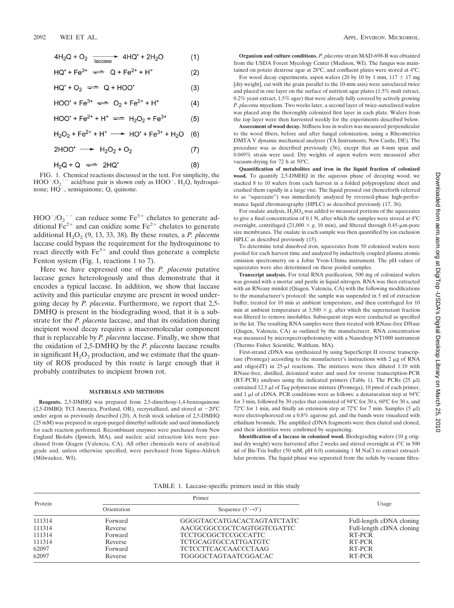$$
4H_2Q + O_2 \xrightarrow[accase]{}
$$
 4HQ<sup>\*</sup> + 2H<sub>2</sub>O (1)

$$
HQ^* + Fe^{3+} \implies Q + Fe^{2+} + H^+ \tag{2}
$$

$$
HG. + O^3 \iff G + HOO. \tag{3}
$$

$$
HOO^{\bullet} + Fe^{3+} \implies O_2 + Fe^{2+} + H^+ \tag{4}
$$

$$
HOO^* + Fe^{2+} + H^+ \implies H_2O_2 + Fe^{3+} \tag{5}
$$

$$
H_2O_2 + Fe^{2+} + H^+ \longrightarrow HO^+ + Fe^{3+} + H_2O
$$
 (6)

2HOO'  $\longrightarrow$  H<sub>2</sub>O<sub>2</sub> + O<sub>2</sub>  $(7)$ 

$$
H_2Q + Q \implies 2HQ'
$$
 (8)

FIG. 1. Chemical reactions discussed in the text. For simplicity, the  $HOO'/O_2'$  acid/base pair is shown only as  $HOO'. H_2O$ , hydroquinone;  $HO'.$  semiquinone; Q, quinone.

 $HOO'/O_2$ <sup>--</sup> can reduce some Fe<sup>3+</sup> chelates to generate additional  $\overline{Fe}^{2+}$  and can oxidize some  $\overline{Fe}^{2+}$  chelates to generate additional  $H_2O_2$  (9, 13, 33, 38). By these routes, a *P. placenta* laccase could bypass the requirement for the hydroquinone to react directly with  $Fe<sup>3+</sup>$  and could thus generate a complete Fenton system (Fig. 1, reactions 1 to 7). -

Here we have expressed one of the *P. placenta* putative laccase genes heterologously and thus demonstrate that it encodes a typical laccase. In addition, we show that laccase activity and this particular enzyme are present in wood undergoing decay by *P. placenta*. Furthermore, we report that 2,5- DMHQ is present in the biodegrading wood, that it is a substrate for the *P. placenta* laccase, and that its oxidation during incipient wood decay requires a macromolecular component that is replaceable by *P. placenta* laccase. Finally, we show that the oxidation of 2,5-DMHQ by the *P. placenta* laccase results in significant  $H_2O_2$  production, and we estimate that the quantity of ROS produced by this route is large enough that it probably contributes to incipient brown rot.

#### **MATERIALS AND METHODS**

**Reagents.** 2,5-DMHQ was prepared from 2,5-dimethoxy-1,4-benzoquinone  $(2,5-DMBQ; TCI America, Portland, OR), recursively, and stored at  $-20^{\circ}C$$ under argon as previously described (20). A fresh stock solution of 2,5-DMHQ (25 mM) was prepared in argon-purged dimethyl sulfoxide and used immediately for each reaction performed. Recombinant enzymes were purchased from New England Biolabs (Ipswich, MA), and nucleic acid extraction kits were purchased from Qiagen (Valencia, CA). All other chemicals were of analytical grade and, unless otherwise specified, were purchased from Sigma-Aldrich (Milwaukee, WI).

**Organism and culture conditions.** *P. placenta* strain MAD-698-R was obtained from the USDA Forest Mycology Center (Madison, WI). The fungus was maintained on potato dextrose agar at 28°C, and confluent plates were stored at 4°C.

For wood decay experiments, aspen wafers (20 by 10 by 1 mm,  $117 \pm 17$  mg [dry weight], cut with the grain parallel to the 10-mm axis) were autoclaved twice and placed in one layer on the surface of nutrient agar plates (1.5% malt extract, 0.2% yeast extract, 1.5% agar) that were already fully covered by actively growing *P. placenta* mycelium. Two weeks later, a second layer of twice-autoclaved wafers was placed atop the thoroughly colonized first layer in each plate. Wafers from the top layer were then harvested weekly for the experiments described below.

**Assessment of wood decay.** Stiffness loss in wafers was measured perpendicular to the wood fibers, before and after fungal colonization, using a Rheometrics DMTA V dynamic mechanical analyzer (TA Instruments, New Castle, DE). The procedure was as described previously (36), except that an 8-mm span and 0.049% strain were used. Dry weights of aspen wafers were measured after vacuum-drying for 72 h at 50°C.

**Quantification of metabolites and iron in the liquid fraction of colonized wood.** To quantify 2,5-DMHQ in the aqueous phase of decaying wood, we stacked 8 to 10 wafers from each harvest in a folded polypropylene sheet and crushed them rapidly in a large vise. The liquid pressed out (henceforth referred to as "squeezate") was immediately analyzed by reversed-phase high-performance liquid chromatography (HPLC) as described previously (17, 36).

For oxalate analysis,  $H_2SO_4$  was added to measured portions of the squeezates to give a final concentration of 0.1 N, after which the samples were stored at 4°C overnight, centrifuged  $(21,000 \times g, 10 \text{ min})$ , and filtered through 0.45- $\mu$ m-pore size membranes. The oxalate in each sample was then quantified by ion exclusion HPLC as described previously (15).

To determine total dissolved iron, squeezates from 50 colonized wafers were pooled for each harvest time and analyzed by inductively coupled plasma atomic emission spectrometry on a Jobin Yvon-Ultima instrument. The pH values of squeezates were also determined on these pooled samples.

**Transcript analysis.** For total RNA purification, 500 mg of colonized wafers was ground with a mortar and pestle in liquid nitrogen. RNA was then extracted with an RNeasy minikit (Qiagen, Valencia, CA) with the following modifications to the manufacturer's protocol: the sample was suspended in 5 ml of extraction buffer, treated for 10 min at ambient temperature, and then centrifuged for 10 min at ambient temperature at  $3,500 \times g$ , after which the supernatant fraction was filtered to remove insolubles. Subsequent steps were conducted as specified in the kit. The resulting RNA samples were then treated with RNase-free DNase (Qiagen, Valencia, CA) as outlined by the manufacturer. RNA concentration was measured by microspectrophotometry with a Nanodrop NT1000 instrument (Thermo Fisher Scientific, Waltham, MA).

First-strand cDNA was synthesized by using SuperScript II reverse transcriptase (Promega) according to the manufacturer's instructions with  $2 \mu$ g of RNA and oligo(dT) in  $25$ - $\mu$ l reactions. The mixtures were then diluted 1:10 with RNase-free, distilled, deionized water and used for reverse transcription-PCR (RT-PCR) analyses using the indicated primers (Table 1). The PCRs (25  $\mu$ l) contained 12.5  $\mu$ l of *Taq* polymerase mixture (Promega), 10 pmol of each primer, and 1  $\mu$ l of cDNA. PCR conditions were as follows: a denaturation step at 94°C for 3 min, followed by 30 cycles that consisted of 94°C for 30 s, 60°C for 30 s, and 72°C for 1 min, and finally an extension step at 72°C for 7 min. Samples (5  $\mu$ l) were electrophoresed on a 0.8% agarose gel, and the bands were visualized with ethidium bromide. The amplified cDNA fragments were then eluted and cloned, and their identities were confirmed by sequencing.

**Identification of a laccase in colonized wood.** Biodegrading wafers (10 g original dry weight) were harvested after 2 weeks and stirred overnight at 4°C in 500 ml of Bis-Tris buffer (50 mM, pH 6.0) containing 1 M NaCl to extract extracellular proteins. The liquid phase was separated from the solids by vacuum filtra-

|  | TABLE 1. Laccase-specific primers used in this study |  |  |  |
|--|------------------------------------------------------|--|--|--|
|  |                                                      |  |  |  |

| Protein |             | Primer                         |                          |  |
|---------|-------------|--------------------------------|--------------------------|--|
|         | Orientation | Sequence $(5' \rightarrow 3')$ | Usage                    |  |
| 111314  | Forward     | GGGGTACCATGACACTAGTATCTATC     | Full-length cDNA cloning |  |
| 111314  | Reverse     | AACGCGGCCGCTCAGTGGTCGATTC      | Full-length cDNA cloning |  |
| 111314  | Forward     | <b>TCCTGCGGCTCCGCCATTC</b>     | RT-PCR                   |  |
| 111314  | Reverse     | <b>TCTGCAGTGCCATTGATGTC</b>    | RT-PCR                   |  |
| 62097   | Forward     | <b>TCTCCTTCACCAACCCTAAG</b>    | RT-PCR                   |  |
| 62097   | Reverse     | <b>TGGGGCTAGTAATCGGACAC</b>    | RT-PCR                   |  |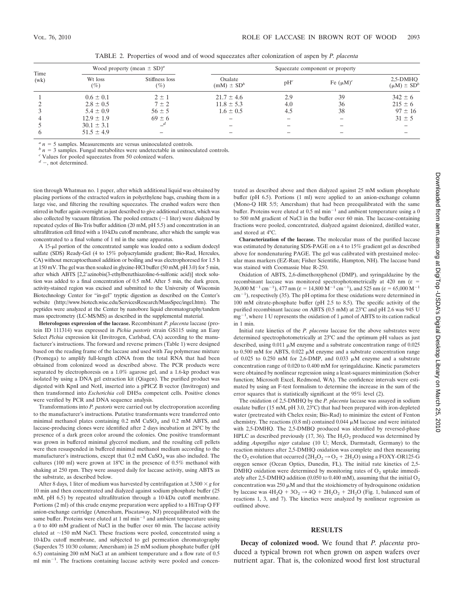| Time<br>(wk) | Wood property (mean $\pm$ SD) <sup>a</sup> |                                     | Squeezate component or property |                          |                |                                  |
|--------------|--------------------------------------------|-------------------------------------|---------------------------------|--------------------------|----------------|----------------------------------|
|              | Wt loss<br>$(\%)$                          | Stiffness loss<br>$\left(\%\right)$ | Oxalate<br>$(mM) \pm SD^b$      | $pH^c$                   | Fe $(\mu M)^c$ | $2.5-DMHO$<br>$(\mu M) \pm SD^b$ |
|              | $0.6 \pm 0.1$                              | $2 \pm 1$                           | $21.7 \pm 4.6$                  | 2.9                      | 39             | $342 \pm 6$                      |
|              | $2.8 \pm 0.5$                              | $7 \pm 2$                           | $11.8 \pm 5.3$                  | 4.0                      | 36             | $215 \pm 6$                      |
|              | $5.4 \pm 0.9$                              | $56 \pm 5$                          | $1.6 \pm 0.5$                   | 4.5                      | 38             | $97 \pm 16$                      |
|              | $12.9 \pm 1.9$                             | $69 \pm 6$                          | $\qquad \qquad -$               | $\overline{\phantom{0}}$ |                | $31 \pm 5$                       |
|              | $30.1 \pm 3.1$                             | $-$ <sup>d</sup>                    | $\overline{\phantom{0}}$        | $\overline{\phantom{a}}$ |                |                                  |
|              | $51.5 \pm 4.9$                             |                                     | -                               | $\overline{\phantom{0}}$ |                | -                                |

TABLE 2. Properties of wood and of wood squeezates after colonization of aspen by *P. placenta*

 $a_n = 5$  samples. Measurements are versus uninoculated controls.

 *<i>n* = 3 samples. Fungal metabolites were undetectable in uninoculated controls.

*<sup>c</sup>* Values for pooled squeezates from 50 colonized wafers.

*<sup>d</sup>* -, not determined.

tion through Whatman no. 1 paper, after which additional liquid was obtained by placing portions of the extracted wafers in polyethylene bags, crushing them in a large vise, and filtering the resulting squeezates. The crushed wafers were then stirred in buffer again overnight as just described to give additional extract, which was also collected by vacuum filtration. The pooled extracts  $(\sim 1$  liter) were dialyzed by repeated cycles of Bis-Tris buffer addition (20 mM, pH 5.5) and concentration in an ultrafiltration cell fitted with a 10-kDa cutoff membrane, after which the sample was concentrated to a final volume of 1 ml in the same apparatus.

A 15-µl portion of the concentrated sample was loaded onto a sodium dodecyl sulfate (SDS) Ready-Gel (4 to 15% polyacrylamide gradient; Bio-Rad, Hercules, CA) without mercaptoethanol addition or boiling and was electrophoresed for 1.5 h at 150 mV. The gel was then soaked in glycine-HCl buffer (50 mM, pH 3.0) for 5 min, after which ABTS [2,2'azinobis(3-ethylbenzthiazoline-6-sulfonic acid)] stock solution was added to a final concentration of 0.5 mM. After 5 min, the dark green, activity-stained region was excised and submitted to the University of Wisconsin Biotechnology Center for "in-gel" tryptic digestion as described on the Center's website (http://www.biotech.wisc.edu/ServicesResearch/MassSpec/ingel.htm). The peptides were analyzed at the Center by nanobore liquid chromatography/tandem mass spectrometry (LC-MS/MS) as described in the supplemental material.

**Heterologous expression of the laccase.** Recombinant *P. placenta* laccase (protein ID 111314) was expressed in *Pichia pastoris* strain GS115 using an Easy Select *Pichia* expression kit (Invitrogen, Carlsbad, CA) according to the manufacturer's instructions. The forward and reverse primers (Table 1) were designed based on the reading frame of the laccase and used with *Taq* polymerase mixture (Promega) to amplify full-length cDNA from the total RNA that had been obtained from colonized wood as described above. The PCR products were separated by electrophoresis on a 1.0% agarose gel, and a 1.6-kp product was isolated by using a DNA gel extraction kit (Qiagen). The purified product was digested with KpnI and NotI, inserted into a pPICZ B vector (Invitrogen) and then transformed into *Escherichia coli* DH5a competent cells. Positive clones were verified by PCR and DNA sequence analysis.

Transformations into *P. pastoris* were carried out by electroporation according to the manufacturer's instructions. Putative transformants were transferred onto minimal methanol plates containing 0.2 mM CuSO<sub>4</sub> and 0.2 mM ABTS, and laccase-producing clones were identified after 2 days incubation at 28°C by the presence of a dark green color around the colonies. One positive transformant was grown in buffered minimal glycerol medium, and the resulting cell pellets were then resuspended in buffered minimal methanol medium according to the manufacturer's instructions, except that  $0.2 \text{ mM } C$ uSO<sub>4</sub> was also included. The cultures (100 ml) were grown at 18°C in the presence of 0.5% methanol with shaking at 250 rpm. They were assayed daily for laccase activity, using ABTS as the substrate, as described below.

After 8 days, 1 liter of medium was harvested by centrifugation at  $3,500 \times g$  for 10 min and then concentrated and dialyzed against sodium phosphate buffer (25 mM, pH 6.5) by repeated ultrafiltration through a 10-kDa cutoff membrane. Portions (2 ml) of this crude enzyme preparation were applied to a HiTrap Q FF anion-exchange cartridge (Amersham, Piscataway, NJ) preequilibrated with the same buffer. Proteins were eluted at  $1 \text{ ml min}^{-1}$  and ambient temperature using a 0 to 400 mM gradient of NaCl in the buffer over 60 min. The laccase activity eluted at �150 mM NaCl. These fractions were pooled, concentrated using a 10-kDa cutoff membrane, and subjected to gel permeation chromatography (Superdex 75 10/30 column; Amersham) in 25 mM sodium phosphate buffer (pH 6.5) containing 200 mM NaCl at an ambient temperature and a flow rate of 0.5 ml min<sup>-1</sup>. The fractions containing laccase activity were pooled and concentrated as described above and then dialyzed against 25 mM sodium phosphate buffer (pH 6.5). Portions (1 ml) were applied to an anion-exchange column (Mono-Q HR 5/5; Amersham) that had been preequilibrated with the same buffer. Proteins were eluted at  $0.5$  ml min<sup>-1</sup> and ambient temperature using a 0 to 500 mM gradient of NaCl in the buffer over 60 min. The laccase-containing fractions were pooled, concentrated, dialyzed against deionized, distilled water, and stored at 4°C.

**Characterization of the laccase.** The molecular mass of the purified laccase was estimated by denaturing SDS-PAGE on a 4 to 15% gradient gel as described above for nondenaturing PAGE. The gel was calibrated with prestained molecular mass markers (EZ-Run; Fisher Scientific, Hampton, NH). The laccase band was stained with Coomassie blue R-250.

Oxidation of ABTS, 2,6-dimethoxyphenol (DMP), and syringaldazine by the recombinant laccase was monitored spectrophotometrically at 420 nm ( $\varepsilon$  = 36,000 M<sup>-1</sup> cm<sup>-1</sup>), 477 nm ( $\varepsilon = 14,800$  M<sup>-1</sup> cm<sup>-1</sup>), and 525 nm ( $\varepsilon = 65,000$  M<sup>-1</sup>  $\text{cm}^{-1}$ ), respectively (35). The pH optima for these oxidations were determined in 100 mM citrate-phosphate buffer (pH 2.5 to 8.5). The specific activity of the purified recombinant laccase on ABTS (0.5 mM) at 23°C and pH 2.6 was 945 U  $mg^{-1}$ , where 1 U represents the oxidation of 1  $\mu$ mol of ABTS to its cation radical in 1 min.

Initial rate kinetics of the *P. placenta* laccase for the above substrates were determined spectrophotometrically at 23°C and the optimum pH values as just described, using  $0.011 \mu M$  enzyme and a substrate concentration range of  $0.025$ to 0.500 mM for ABTS, 0.022  $\mu$ M enzyme and a substrate concentration range of 0.025 to 0.250 mM for 2,6-DMP, and 0.033  $\mu$ M enzyme and a substrate concentration range of 0.020 to 0.400 mM for syringaldazine. Kinetic parameters were obtained by nonlinear regression using a least-squares minimization (Solver function; Microsoft Excel, Redmond, WA). The confidence intervals were estimated by using an F-test formalism to determine the increase in the sum of the error squares that is statistically significant at the 95% level (2).

The oxidation of 2,5-DMHQ by the *P. placenta* laccase was assayed in sodium oxalate buffer (15 mM, pH 3.0, 23°C) that had been prepared with iron-depleted water (pretreated with Chelex resin; Bio-Rad) to minimize the extent of Fenton chemistry. The reactions (0.8 ml) contained 0.044  $\mu$ M laccase and were initiated with 2,5-DMHQ. The 2,5-DMBQ produced was identified by reversed-phase HPLC as described previously (17, 36). The  $H_2O_2$  produced was determined by adding *Aspergillus niger* catalase (10 U; Merck, Darmstadt, Germany) to the reaction mixtures after 2,5-DMHQ oxidation was complete and then measuring the O<sub>2</sub> evolution that occurred ( $2H_2O_2 \rightarrow O_2 + 2H_2O$ ) using a FOXY-OR125-G oxygen sensor (Ocean Optics, Dunedin, FL). The initial rate kinetics of 2,5 DMHQ oxidation were determined by monitoring rates of  $O<sub>2</sub>$  uptake immediately after 2,5-DMHQ addition (0.050 to 0.400 mM), assuming that the initial  $O_2$ concentration was  $250 \mu M$  and that the stoichiometry of hydroquinone oxidation by laccase was  $4H_2Q + 3O_2 \rightarrow 4Q + 2H_2O_2 + 2H_2O$  (Fig. 1, balanced sum of reactions 1, 3, and 7). The kinetics were analyzed by nonlinear regression as outlined above.

## **RESULTS**

**Decay of colonized wood.** We found that *P. placenta* produced a typical brown rot when grown on aspen wafers over nutrient agar. That is, the colonized wood first lost structural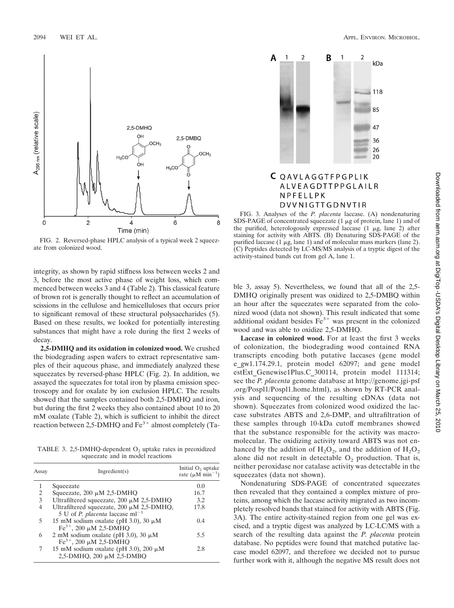

FIG. 2. Reversed-phase HPLC analysis of a typical week 2 squeezate from colonized wood.

integrity, as shown by rapid stiffness loss between weeks 2 and 3, before the most active phase of weight loss, which commenced between weeks 3 and 4 (Table 2). This classical feature of brown rot is generally thought to reflect an accumulation of scissions in the cellulose and hemicelluloses that occurs prior to significant removal of these structural polysaccharides (5). Based on these results, we looked for potentially interesting substances that might have a role during the first 2 weeks of decay.

**2,5-DMHQ and its oxidation in colonized wood.** We crushed the biodegrading aspen wafers to extract representative samples of their aqueous phase, and immediately analyzed these squeezates by reversed-phase HPLC (Fig. 2). In addition, we assayed the squeezates for total iron by plasma emission spectroscopy and for oxalate by ion exclusion HPLC. The results showed that the samples contained both 2,5-DMHQ and iron, but during the first 2 weeks they also contained about 10 to 20 mM oxalate (Table 2), which is sufficient to inhibit the direct reaction between 2,5-DMHQ and  $Fe<sup>3+</sup>$  almost completely (Ta-

TABLE 3. 2,5-DMHQ-dependent  $O<sub>2</sub>$  uptake rates in preoxidized squeezate and in model reactions

| Assay | Ingradient(s)                                                                                 | Initial O <sub>2</sub> uptake<br>rate ( $\mu$ M min <sup>-1</sup> ) |
|-------|-----------------------------------------------------------------------------------------------|---------------------------------------------------------------------|
|       | Squeezate                                                                                     | 0.0                                                                 |
| 2     | Squeezate, $200 \mu M$ 2,5-DMHQ                                                               | 16.7                                                                |
| 3     | Ultrafiltered squeezate, $200 \mu M$ 2,5-DMHQ                                                 | 3.2                                                                 |
| 4     | Ultrafiltered squeezate, $200 \mu M$ 2,5-DMHQ,<br>5 U of <i>P. placenta</i> laccase $ml^{-1}$ | 17.8                                                                |
| 5     | 15 mM sodium oxalate (pH 3.0), 30 $\mu$ M<br>$Fe^{3+}$ , 200 µM 2,5-DMHO                      | 0.4                                                                 |
| 6     | 2 mM sodium oxalate (pH 3.0), 30 $\mu$ M<br>$Fe^{3+}$ , 200 µM 2,5-DMHO                       | 5.5                                                                 |
| 7     | 15 mM sodium oxalate (pH 3.0), 200 $\mu$ M<br>2,5-DMHQ, 200 μM 2,5-DMBQ                       | 2.8                                                                 |



# C QAVLAGGTFPGPLIK ALVEAGDTTPPGLAILR NPFELLPK DVVNIGTTGDNVTIR

FIG. 3. Analyses of the *P. placenta* laccase. (A) nondenaturing SDS-PAGE of concentrated squeezate  $(1 \mu g)$  of protein, lane 1) and of the purified, heterologously expressed laccase  $(1 \mu g, \text{lane } 2)$  after staining for activity with ABTS. (B) Denaturing SDS-PAGE of the purified laccase (1  $\mu$ g, lane 1) and of molecular mass markers (lane 2). (C) Peptides detected by LC-MS/MS analysis of a tryptic digest of the activity-stained bands cut from gel A, lane 1.

ble 3, assay 5). Nevertheless, we found that all of the 2,5- DMHQ originally present was oxidized to 2,5-DMBQ within an hour after the squeezates were separated from the colonized wood (data not shown). This result indicated that some additional oxidant besides  $Fe<sup>3+</sup>$  was present in the colonized wood and was able to oxidize 2,5-DMHQ.

**Laccase in colonized wood.** For at least the first 3 weeks of colonization, the biodegrading wood contained RNA transcripts encoding both putative laccases (gene model e\_gw1.174.29.1, protein model 62097; and gene model estExt Genewise1Plus.C 300114, protein model 111314; see the *P. placenta* genome database at http://genome.jgi-psf .org/Pospl1/Pospl1.home.html), as shown by RT-PCR analysis and sequencing of the resulting cDNAs (data not shown). Squeezates from colonized wood oxidized the laccase substrates ABTS and 2,6-DMP, and ultrafiltration of these samples through 10-kDa cutoff membranes showed that the substance responsible for the activity was macromolecular. The oxidizing activity toward ABTS was not enhanced by the addition of  $H_2O_2$ , and the addition of  $H_2O_2$ alone did not result in detectable  $O_2$  production. That is, neither peroxidase nor catalase activity was detectable in the squeezates (data not shown).

Nondenaturing SDS-PAGE of concentrated squeezates then revealed that they contained a complex mixture of proteins, among which the laccase activity migrated as two incompletely resolved bands that stained for activity with ABTS (Fig. 3A). The entire activity-stained region from one gel was excised, and a tryptic digest was analyzed by LC-LC/MS with a search of the resulting data against the *P. placenta* protein database. No peptides were found that matched putative laccase model 62097, and therefore we decided not to pursue further work with it, although the negative MS result does not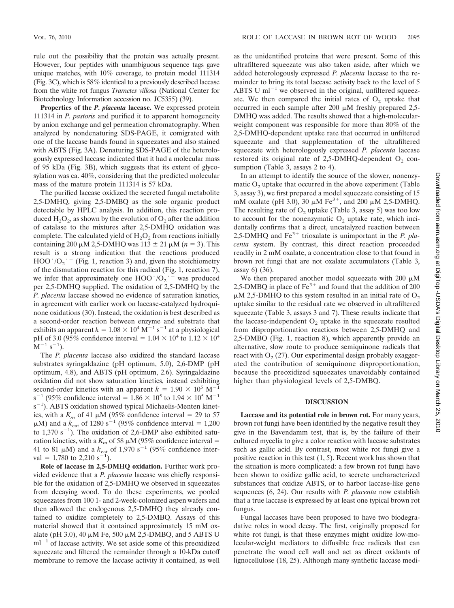rule out the possibility that the protein was actually present. However, four peptides with unambiguous sequence tags gave unique matches, with 10% coverage, to protein model 111314 (Fig. 3C), which is 58% identical to a previously described laccase from the white rot fungus *Trametes villosa* (National Center for Biotechnology Information accession no. JC5355) (39).

**Properties of the** *P. placenta* **laccase.** We expressed protein 111314 in *P. pastoris* and purified it to apparent homogeneity by anion exchange and gel permeation chromatography. When analyzed by nondenaturing SDS-PAGE, it comigrated with one of the laccase bands found in squeezates and also stained with ABTS (Fig. 3A). Denaturing SDS-PAGE of the heterologously expressed laccase indicated that it had a molecular mass of 95 kDa (Fig. 3B), which suggests that its extent of glycosylation was ca. 40%, considering that the predicted molecular mass of the mature protein 111314 is 57 kDa.

The purified laccase oxidized the secreted fungal metabolite 2,5-DMHQ, giving 2,5-DMBQ as the sole organic product detectable by HPLC analysis. In addition, this reaction produced  $H_2O_2$ , as shown by the evolution of  $O_2$  after the addition of catalase to the mixtures after 2,5-DMHQ oxidation was complete. The calculated yield of  $H_2O_2$  from reactions initially containing 200  $\mu$ M 2,5-DMHQ was 113  $\pm$  21  $\mu$ M (*n* = 3). This result is a strong indication that the reactions produced HOO  $/O_2$ <sup> $\cdot$ </sup> (Fig. 1, reaction 3) and, given the stoichiometry of the dismutation reaction for this radical (Fig. 1, reaction 7), we infer that approximately one HOO  $/O_2$ <sup>- $=$ </sup> was produced per 2,5-DMHQ supplied. The oxidation of 2,5-DMHQ by the *P. placenta* laccase showed no evidence of saturation kinetics, in agreement with earlier work on laccase-catalyzed hydroquinone oxidations (30). Instead, the oxidation is best described as a second-order reaction between enzyme and substrate that exhibits an apparent  $k = 1.08 \times 10^4 \,\mathrm{M}^{-1} \,\mathrm{s}^{-1}$  at a physiological pH of 3.0 (95% confidence interval =  $1.04 \times 10^4$  to  $1.12 \times 10^4$  $(M^{-1} s^{-1}).$ 

The *P. placenta* laccase also oxidized the standard laccase substrates syringaldazine (pH optimum, 5.0), 2,6-DMP (pH optimum, 4.8), and ABTS (pH optimum, 2.6). Syringaldazine oxidation did not show saturation kinetics, instead exhibiting second-order kinetics with an apparent  $k = 1.90 \times 10^5$  M<sup>-1</sup> s<sup>-1</sup> (95% confidence interval =  $1.86 \times 10^5$  to  $1.94 \times 10^5$  M<sup>-1</sup> s<sup>-1</sup>). ABTS oxidation showed typical Michaelis-Menten kinetics, with a  $K_m$  of 41  $\mu$ M (95% confidence interval = 29 to 57  $\mu$ M) and a  $k_{\text{cat}}$  of 1280 s<sup>-1</sup> (95% confidence interval = 1,200 to  $1,370 \text{ s}^{-1}$ ). The oxidation of 2,6-DMP also exhibited saturation kinetics, with a  $K_m$  of 58  $\mu$ M (95% confidence interval = 41 to 81  $\mu$ M) and a  $k_{\text{cat}}$  of 1,970 s<sup>-1</sup> (95% confidence interval = 1,780 to 2,210 s<sup>-1</sup>).

**Role of laccase in 2,5-DMHQ oxidation.** Further work provided evidence that a *P. placenta* laccase was chiefly responsible for the oxidation of 2,5-DMHQ we observed in squeezates from decaying wood. To do these experiments, we pooled squeezates from 100 1- and 2-week-colonized aspen wafers and then allowed the endogenous 2,5-DMHQ they already contained to oxidize completely to 2,5-DMBQ. Assays of this material showed that it contained approximately 15 mM oxalate (pH 3.0), 40  $\mu$ M Fe, 500  $\mu$ M 2,5-DMBQ, and 5 ABTS U  $ml^{-1}$  of laccase activity. We set aside some of this preoxidized squeezate and filtered the remainder through a 10-kDa cutoff membrane to remove the laccase activity it contained, as well

as the unidentified proteins that were present. Some of this ultrafiltered squeezate was also taken aside, after which we added heterologously expressed *P. placenta* laccase to the remainder to bring its total laccase activity back to the level of 5 ABTS U  $ml^{-1}$  we observed in the original, unfiltered squeezate. We then compared the initial rates of  $O<sub>2</sub>$  uptake that occurred in each sample after 200  $\mu$ M freshly prepared 2,5-DMHQ was added. The results showed that a high-molecularweight component was responsible for more than 80% of the 2,5-DMHQ-dependent uptake rate that occurred in unfiltered squeezate and that supplementation of the ultrafiltered squeezate with heterologously expressed *P. placenta* laccase restored its original rate of  $2,5$ -DMHQ-dependent  $O_2$  consumption (Table 3, assays 2 to 4).

In an attempt to identify the source of the slower, nonenzymatic  $O<sub>2</sub>$  uptake that occurred in the above experiment (Table 3, assay 3), we first prepared a model squeezate consisting of 15 mM oxalate (pH 3.0), 30  $\mu$ M Fe<sup>3+</sup>, and 200  $\mu$ M 2,5-DMHQ. The resulting rate of  $O_2$  uptake (Table 3, assay 5) was too low to account for the nonenzymatic  $O<sub>2</sub>$  uptake rate, which incidentally confirms that a direct, uncatalyzed reaction between 2,5-DMHQ and Fe<sup>3+</sup> trioxalate is unimportant in the *P. placenta* system. By contrast, this direct reaction proceeded readily in 2 mM oxalate, a concentration close to that found in brown rot fungi that are not oxalate accumulators (Table 3, assay 6) (36).

We then prepared another model squeezate with 200  $\mu$ M 2,5-DMBQ in place of  $Fe<sup>3+</sup>$  and found that the addition of 200  $\mu$ M 2,5-DMHQ to this system resulted in an initial rate of O<sub>2</sub> uptake similar to the residual rate we observed in ultrafiltered squeezate (Table 3, assays 3 and 7). These results indicate that the laccase-independent  $O<sub>2</sub>$  uptake in the squeezate resulted from disproportionation reactions between 2,5-DMHQ and 2,5-DMBQ (Fig. 1, reaction 8), which apparently provide an alternative, slow route to produce semiquinone radicals that react with  $O<sub>2</sub>$  (27). Our experimental design probably exaggerated the contribution of semiquinone disproportionation, because the preoxidized squeezates unavoidably contained higher than physiological levels of 2,5-DMBQ.

# **DISCUSSION**

**Laccase and its potential role in brown rot.** For many years, brown rot fungi have been identified by the negative result they give in the Bavendamm test, that is, by the failure of their cultured mycelia to give a color reaction with laccase substrates such as gallic acid. By contrast, most white rot fungi give a positive reaction in this test (1, 5). Recent work has shown that the situation is more complicated: a few brown rot fungi have been shown to oxidize gallic acid, to secrete uncharacterized substances that oxidize ABTS, or to harbor laccase-like gene sequences (6, 24). Our results with *P. placenta* now establish that a true laccase is expressed by at least one typical brown rot fungus.

Fungal laccases have been proposed to have two biodegradative roles in wood decay. The first, originally proposed for white rot fungi, is that these enzymes might oxidize low-molecular-weight mediators to diffusible free radicals that can penetrate the wood cell wall and act as direct oxidants of lignocellulose (18, 25). Although many synthetic laccase medi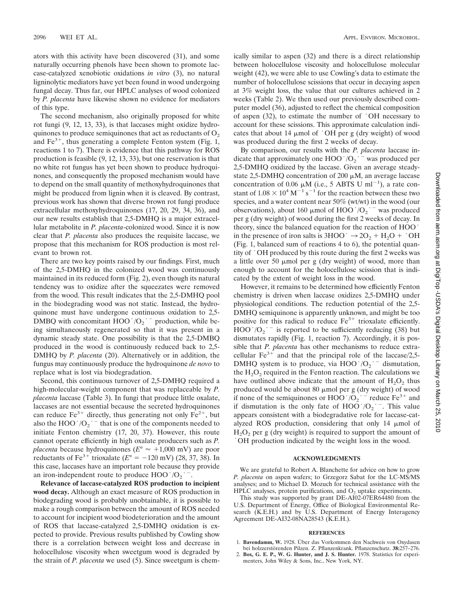ators with this activity have been discovered (31), and some naturally occurring phenols have been shown to promote laccase-catalyzed xenobiotic oxidations *in vitro* (3), no natural ligninolytic mediators have yet been found in wood undergoing fungal decay. Thus far, our HPLC analyses of wood colonized by *P. placenta* have likewise shown no evidence for mediators of this type.

The second mechanism, also originally proposed for white rot fungi (9, 12, 13, 33), is that laccases might oxidize hydroquinones to produce semiquinones that act as reductants of  $O<sub>2</sub>$ and  $Fe<sup>3+</sup>$ , thus generating a complete Fenton system (Fig. 1, reactions 1 to 7). There is evidence that this pathway for ROS production is feasible (9, 12, 13, 33), but one reservation is that no white rot fungus has yet been shown to produce hydroquinones, and consequently the proposed mechanism would have to depend on the small quantity of methoxyhydroquinones that might be produced from lignin when it is cleaved. By contrast, previous work has shown that diverse brown rot fungi produce extracellular methoxyhydroquinones (17, 20, 29, 34, 36), and our new results establish that 2,5-DMHQ is a major extracellular metabolite in *P. placenta*-colonized wood. Since it is now clear that *P. placenta* also produces the requisite laccase, we propose that this mechanism for ROS production is most relevant to brown rot.

There are two key points raised by our findings. First, much of the 2,5-DMHQ in the colonized wood was continuously maintained in its reduced form (Fig. 2), even though its natural tendency was to oxidize after the squeezates were removed from the wood. This result indicates that the 2,5-DMHQ pool in the biodegrading wood was not static. Instead, the hydroquinone must have undergone continuous oxidation to 2,5 DMBQ with concomitant HOO  $/O_2$   $^-$  production, while being simultaneously regenerated so that it was present in a dynamic steady state. One possibility is that the 2,5-DMBQ produced in the wood is continuously reduced back to 2,5 DMHQ by *P. placenta* (20). Alternatively or in addition, the fungus may continuously produce the hydroquinone *de novo* to replace what is lost via biodegradation.

Second, this continuous turnover of 2,5-DMHQ required a high-molecular-weight component that was replaceable by *P. placenta* laccase (Table 3). In fungi that produce little oxalate, laccases are not essential because the secreted hydroquinones can reduce  $Fe^{3+}$  directly, thus generating not only  $Fe^{2+}$ , but also the HOO  $/O_2$  <sup>--</sup> that is one of the components needed to initiate Fenton chemistry (17, 20, 37). However, this route cannot operate efficiently in high oxalate producers such as *P. placenta* because hydroquinones ( $E^{\circ} \approx +1,000$  mV) are poor reductants of Fe<sup>3+</sup> trioxalate  $(E^\circ = -120 \text{ mV})$  (28, 37, 38). In this case, laccases have an important role because they provide an iron-independent route to produce HOO  $/O_2$ .

**Relevance of laccase-catalyzed ROS production to incipient wood decay.** Although an exact measure of ROS production in biodegrading wood is probably unobtainable, it is possible to make a rough comparison between the amount of ROS needed to account for incipient wood biodeterioration and the amount of ROS that laccase-catalyzed 2,5-DMHQ oxidation is expected to provide. Previous results published by Cowling show there is a correlation between weight loss and decrease in holocellulose viscosity when sweetgum wood is degraded by the strain of *P. placenta* we used (5). Since sweetgum is chemically similar to aspen (32) and there is a direct relationship between holocellulose viscosity and holocellulose molecular weight (42), we were able to use Cowling's data to estimate the number of holocellulose scissions that occur in decaying aspen at 3% weight loss, the value that our cultures achieved in 2 weeks (Table 2). We then used our previously described computer model (36), adjusted to reflect the chemical composition of aspen (32), to estimate the number of  $\cdot$ OH necessary to account for these scissions. This approximate calculation indicates that about 14  $\mu$ mol of  $\cdot$ OH per g (dry weight) of wood was produced during the first 2 weeks of decay.

By comparison, our results with the *P. placenta* laccase indicate that approximately one HOO  $/O_2$   $\overline{\phantom{a}}$  was produced per 2,5-DMHQ oxidized by the laccase. Given an average steadystate 2,5-DMHQ concentration of 200  $\mu$ M, an average laccase concentration of 0.06  $\mu$ M (i.e., 5 ABTS U ml<sup>-1</sup>), a rate constant of  $1.08 \times 10^4 \,\mathrm{M}^{-1} \,\mathrm{s}^{-1}$  for the reaction between these two species, and a water content near 50% (wt/wt) in the wood (our observations), about 160  $\mu$ mol of HOO '/O<sub>2</sub>  $^-$  was produced per g (dry weight) of wood during the first 2 weeks of decay. In theory, since the balanced equation for the reaction of HOO . in the presence of iron salts is  $3HOO \rightarrow 2O_2 + H_2O + OH$ (Fig. 1, balanced sum of reactions 4 to 6), the potential quantity of . OH produced by this route during the first 2 weeks was a little over 50  $\mu$ mol per g (dry weight) of wood, more than enough to account for the holocellulose scission that is indicated by the extent of weight loss in the wood.

However, it remains to be determined how efficiently Fenton chemistry is driven when laccase oxidizes 2,5-DMHQ under physiological conditions. The reduction potential of the 2,5 DMHQ semiquinone is apparently unknown, and might be too positive for this radical to reduce  $Fe<sup>3+</sup>$  trioxalate efficiently.  $HOO'/O_2$ <sup>-</sup> is reported to be sufficiently reducing (38) but dismutates rapidly (Fig. 1, reaction 7). Accordingly, it is possible that *P. placenta* has other mechanisms to reduce extracellular  $Fe^{3+}$  and that the principal role of the laccase/2,5-DMHQ system is to produce, via HOO  $/O_2$ <sup>-</sup> dismutation, the  $H_2O_2$  required in the Fenton reaction. The calculations we have outlined above indicate that the amount of  $H_2O_2$  thus<br>produced would be about 80  $\mu$ mol per g (dry weight) of wood produced would be about 80  $\mu$ mol per g (dry weight) of wood if none of the semiquinones or HOO  $/O_2$  <sup>-</sup> reduce Fe<sup>3+</sup> and if dismutation is the only fate of  $HOO'/O_2$ <sup>--</sup>. This value appears consistent with a biodegradative role for laccase-catalyzed ROS production, considering that only  $14 \mu$ mol of  $H<sub>2</sub>O<sub>2</sub>$  per g (dry weight) is required to support the amount of OH production indicated by the weight loss in the wood.

### **ACKNOWLEDGMENTS**

We are grateful to Robert A. Blanchette for advice on how to grow *P. placenta* on aspen wafers; to Grzegorz Sabat for the LC-MS/MS analyses; and to Michael D. Mozuch for technical assistance with the HPLC analyses, protein purifications, and  $O<sub>2</sub>$  uptake experiments.

This study was supported by grant DE-AI02-07ER64480 from the U.S. Department of Energy, Office of Biological Environmental Research (K.E.H.) and by U.S. Department of Energy Interagency Agreement DE-AI32-08NA28543 (K.E.H.).

### **REFERENCES**

- 1. Bavendamm, W. 1928. Über das Vorkommen den Nachweis von Oxydasen
- bei holzzersto¨renden Pilzen. Z. Pflanzenkrank. Pflanzenschutz. **38:**257–276. 2. **Box, G. E. P., W. G. Hunter, and J. S. Hunter.** 1978. Statistics for experimenters, John Wiley & Sons, Inc., New York, NY.